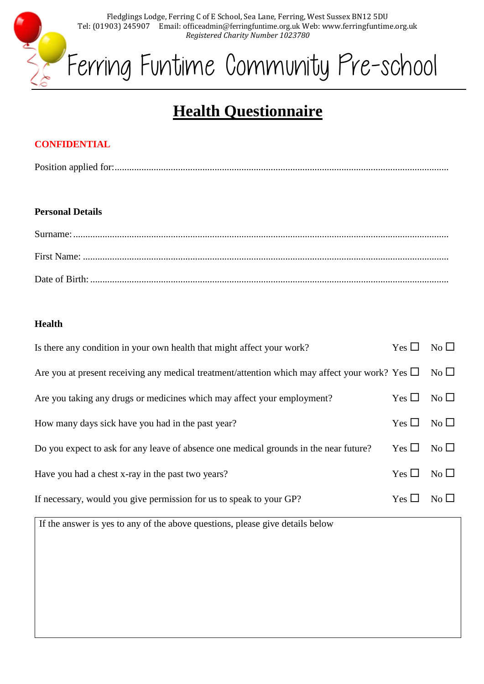

# **Health Questionnaire**

## **CONFIDENTIAL**

Position applied for:.........................................................................................................................................

#### **Personal Details**

#### **Health**

| Is there any condition in your own health that might affect your work?                                              | $Yes \Box No \Box$ |  |
|---------------------------------------------------------------------------------------------------------------------|--------------------|--|
| Are you at present receiving any medical treatment/attention which may affect your work? Yes $\square$ No $\square$ |                    |  |
| Are you taking any drugs or medicines which may affect your employment?                                             | $Yes \Box No \Box$ |  |
| How many days sick have you had in the past year?                                                                   | $Yes \Box No \Box$ |  |
| Do you expect to ask for any leave of absence one medical grounds in the near future?                               | $Yes \Box No \Box$ |  |
| Have you had a chest x-ray in the past two years?                                                                   | $Yes \Box No \Box$ |  |
| If necessary, would you give permission for us to speak to your GP?                                                 | $Yes \Box No \Box$ |  |

If the answer is yes to any of the above questions, please give details below